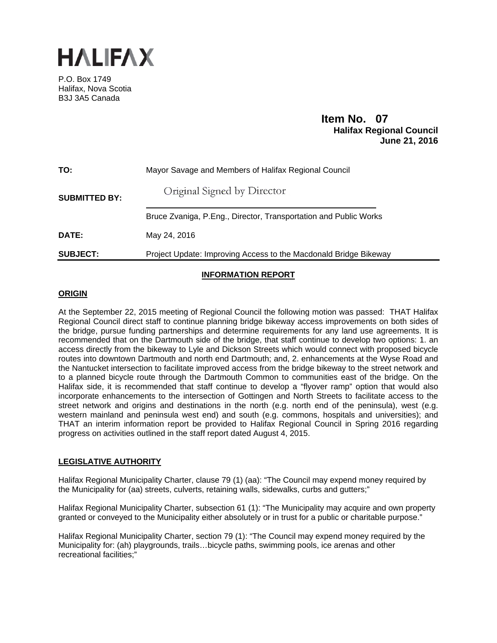

P.O. Box 1749 Halifax, Nova Scotia B3J 3A5 Canada

# **Item No. 07**<br>**Halifax Regional Council June 21, 2016**

| TO:                  | Mayor Savage and Members of Halifax Regional Council             |
|----------------------|------------------------------------------------------------------|
| <b>SUBMITTED BY:</b> | Original Signed by Director                                      |
|                      | Bruce Zvaniga, P.Eng., Director, Transportation and Public Works |
| DATE:                | May 24, 2016                                                     |
| <b>SUBJECT:</b>      | Project Update: Improving Access to the Macdonald Bridge Bikeway |

# **INFORMATION REPORT**

## **ORIGIN**

At the September 22, 2015 meeting of Regional Council the following motion was passed: THAT Halifax Regional Council direct staff to continue planning bridge bikeway access improvements on both sides of the bridge, pursue funding partnerships and determine requirements for any land use agreements. It is recommended that on the Dartmouth side of the bridge, that staff continue to develop two options: 1. an access directly from the bikeway to Lyle and Dickson Streets which would connect with proposed bicycle routes into downtown Dartmouth and north end Dartmouth; and, 2. enhancements at the Wyse Road and the Nantucket intersection to facilitate improved access from the bridge bikeway to the street network and to a planned bicycle route through the Dartmouth Common to communities east of the bridge. On the Halifax side, it is recommended that staff continue to develop a "flyover ramp" option that would also incorporate enhancements to the intersection of Gottingen and North Streets to facilitate access to the street network and origins and destinations in the north (e.g. north end of the peninsula), west (e.g. western mainland and peninsula west end) and south (e.g. commons, hospitals and universities); and THAT an interim information report be provided to Halifax Regional Council in Spring 2016 regarding progress on activities outlined in the staff report dated August 4, 2015.

# **LEGISLATIVE AUTHORITY**

Halifax Regional Municipality Charter, clause 79 (1) (aa): "The Council may expend money required by the Municipality for (aa) streets, culverts, retaining walls, sidewalks, curbs and gutters;"

Halifax Regional Municipality Charter, subsection 61 (1): "The Municipality may acquire and own property granted or conveyed to the Municipality either absolutely or in trust for a public or charitable purpose."

Halifax Regional Municipality Charter, section 79 (1): "The Council may expend money required by the Municipality for: (ah) playgrounds, trails…bicycle paths, swimming pools, ice arenas and other recreational facilities;"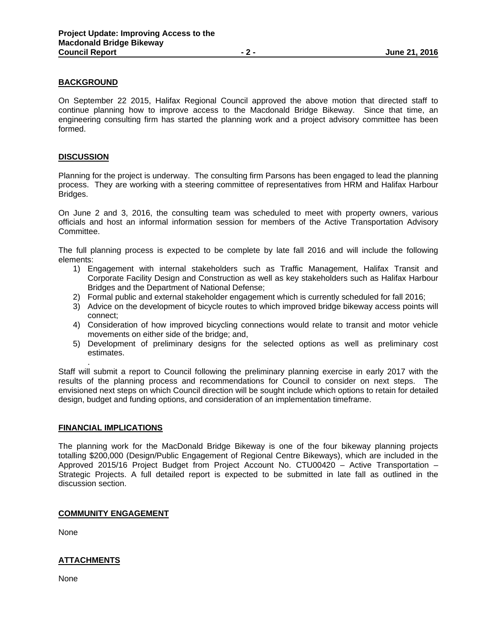### **BACKGROUND**

On September 22 2015, Halifax Regional Council approved the above motion that directed staff to continue planning how to improve access to the Macdonald Bridge Bikeway. Since that time, an engineering consulting firm has started the planning work and a project advisory committee has been formed.

### **DISCUSSION**

Planning for the project is underway. The consulting firm Parsons has been engaged to lead the planning process. They are working with a steering committee of representatives from HRM and Halifax Harbour Bridges.

On June 2 and 3, 2016, the consulting team was scheduled to meet with property owners, various officials and host an informal information session for members of the Active Transportation Advisory Committee.

The full planning process is expected to be complete by late fall 2016 and will include the following elements:

- 1) Engagement with internal stakeholders such as Traffic Management, Halifax Transit and Corporate Facility Design and Construction as well as key stakeholders such as Halifax Harbour Bridges and the Department of National Defense;
- 2) Formal public and external stakeholder engagement which is currently scheduled for fall 2016;
- 3) Advice on the development of bicycle routes to which improved bridge bikeway access points will connect;
- 4) Consideration of how improved bicycling connections would relate to transit and motor vehicle movements on either side of the bridge; and,
- 5) Development of preliminary designs for the selected options as well as preliminary cost estimates.

. Staff will submit a report to Council following the preliminary planning exercise in early 2017 with the results of the planning process and recommendations for Council to consider on next steps. The envisioned next steps on which Council direction will be sought include which options to retain for detailed design, budget and funding options, and consideration of an implementation timeframe.

#### **FINANCIAL IMPLICATIONS**

The planning work for the MacDonald Bridge Bikeway is one of the four bikeway planning projects totalling \$200,000 (Design/Public Engagement of Regional Centre Bikeways), which are included in the Approved 2015/16 Project Budget from Project Account No. CTU00420 – Active Transportation – Strategic Projects. A full detailed report is expected to be submitted in late fall as outlined in the discussion section.

#### **COMMUNITY ENGAGEMENT**

None

# **ATTACHMENTS**

None